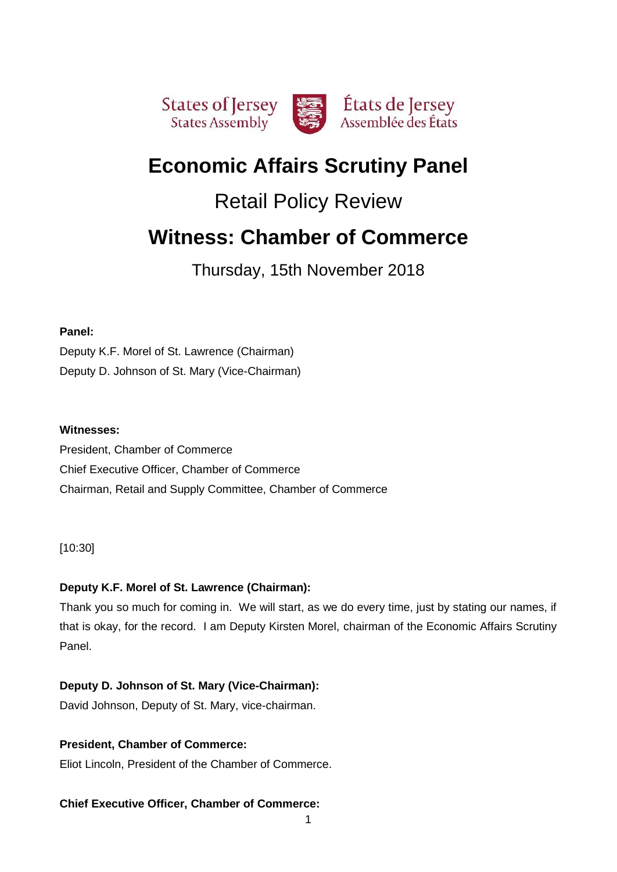

# **Economic Affairs Scrutiny Panel**

# Retail Policy Review

# **Witness: Chamber of Commerce**

Thursday, 15th November 2018

# **Panel:**

Deputy K.F. Morel of St. Lawrence (Chairman) Deputy D. Johnson of St. Mary (Vice-Chairman)

# **Witnesses:**

President, Chamber of Commerce Chief Executive Officer, Chamber of Commerce Chairman, Retail and Supply Committee, Chamber of Commerce

[10:30]

# **Deputy K.F. Morel of St. Lawrence (Chairman):**

Thank you so much for coming in. We will start, as we do every time, just by stating our names, if that is okay, for the record. I am Deputy Kirsten Morel, chairman of the Economic Affairs Scrutiny Panel.

# **Deputy D. Johnson of St. Mary (Vice-Chairman):**

David Johnson, Deputy of St. Mary, vice-chairman.

# **President, Chamber of Commerce:**

Eliot Lincoln, President of the Chamber of Commerce.

# **Chief Executive Officer, Chamber of Commerce:**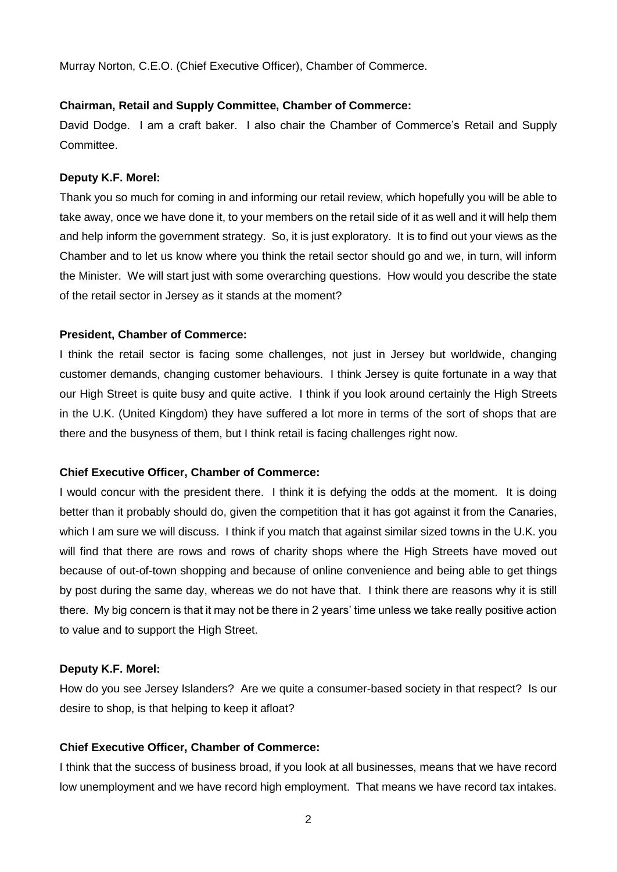Murray Norton, C.E.O. (Chief Executive Officer), Chamber of Commerce.

### **Chairman, Retail and Supply Committee, Chamber of Commerce:**

David Dodge. I am a craft baker. I also chair the Chamber of Commerce's Retail and Supply Committee.

#### **Deputy K.F. Morel:**

Thank you so much for coming in and informing our retail review, which hopefully you will be able to take away, once we have done it, to your members on the retail side of it as well and it will help them and help inform the government strategy. So, it is just exploratory. It is to find out your views as the Chamber and to let us know where you think the retail sector should go and we, in turn, will inform the Minister. We will start just with some overarching questions. How would you describe the state of the retail sector in Jersey as it stands at the moment?

### **President, Chamber of Commerce:**

I think the retail sector is facing some challenges, not just in Jersey but worldwide, changing customer demands, changing customer behaviours. I think Jersey is quite fortunate in a way that our High Street is quite busy and quite active. I think if you look around certainly the High Streets in the U.K. (United Kingdom) they have suffered a lot more in terms of the sort of shops that are there and the busyness of them, but I think retail is facing challenges right now.

## **Chief Executive Officer, Chamber of Commerce:**

I would concur with the president there. I think it is defying the odds at the moment. It is doing better than it probably should do, given the competition that it has got against it from the Canaries, which I am sure we will discuss. I think if you match that against similar sized towns in the U.K. you will find that there are rows and rows of charity shops where the High Streets have moved out because of out-of-town shopping and because of online convenience and being able to get things by post during the same day, whereas we do not have that. I think there are reasons why it is still there. My big concern is that it may not be there in 2 years' time unless we take really positive action to value and to support the High Street.

#### **Deputy K.F. Morel:**

How do you see Jersey Islanders? Are we quite a consumer-based society in that respect? Is our desire to shop, is that helping to keep it afloat?

## **Chief Executive Officer, Chamber of Commerce:**

I think that the success of business broad, if you look at all businesses, means that we have record low unemployment and we have record high employment. That means we have record tax intakes.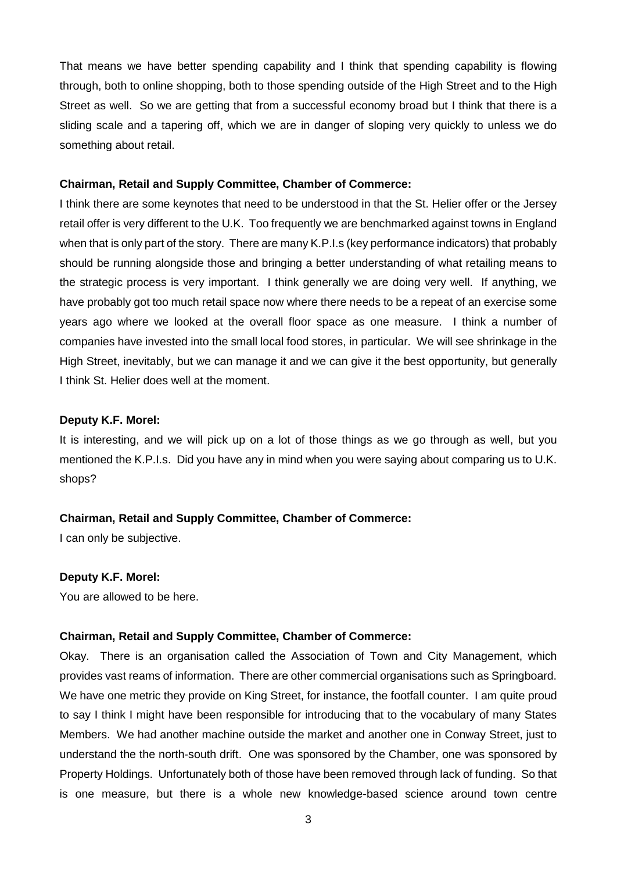That means we have better spending capability and I think that spending capability is flowing through, both to online shopping, both to those spending outside of the High Street and to the High Street as well. So we are getting that from a successful economy broad but I think that there is a sliding scale and a tapering off, which we are in danger of sloping very quickly to unless we do something about retail.

#### **Chairman, Retail and Supply Committee, Chamber of Commerce:**

I think there are some keynotes that need to be understood in that the St. Helier offer or the Jersey retail offer is very different to the U.K. Too frequently we are benchmarked against towns in England when that is only part of the story. There are many K.P.I.s (key performance indicators) that probably should be running alongside those and bringing a better understanding of what retailing means to the strategic process is very important. I think generally we are doing very well. If anything, we have probably got too much retail space now where there needs to be a repeat of an exercise some years ago where we looked at the overall floor space as one measure. I think a number of companies have invested into the small local food stores, in particular. We will see shrinkage in the High Street, inevitably, but we can manage it and we can give it the best opportunity, but generally I think St. Helier does well at the moment.

## **Deputy K.F. Morel:**

It is interesting, and we will pick up on a lot of those things as we go through as well, but you mentioned the K.P.I.s. Did you have any in mind when you were saying about comparing us to U.K. shops?

#### **Chairman, Retail and Supply Committee, Chamber of Commerce:**

I can only be subjective.

#### **Deputy K.F. Morel:**

You are allowed to be here.

#### **Chairman, Retail and Supply Committee, Chamber of Commerce:**

Okay. There is an organisation called the Association of Town and City Management, which provides vast reams of information. There are other commercial organisations such as Springboard. We have one metric they provide on King Street, for instance, the footfall counter. I am quite proud to say I think I might have been responsible for introducing that to the vocabulary of many States Members. We had another machine outside the market and another one in Conway Street, just to understand the the north-south drift. One was sponsored by the Chamber, one was sponsored by Property Holdings. Unfortunately both of those have been removed through lack of funding. So that is one measure, but there is a whole new knowledge-based science around town centre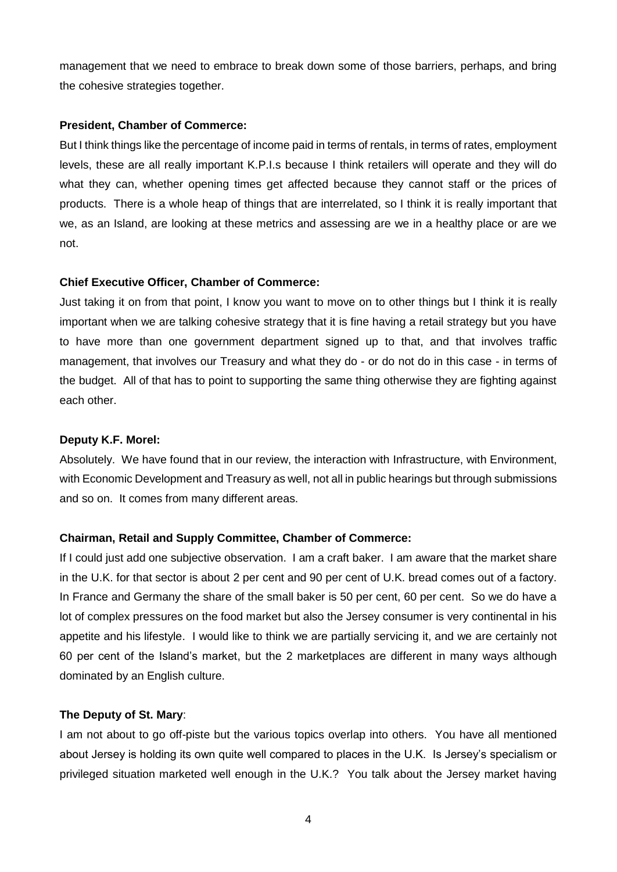management that we need to embrace to break down some of those barriers, perhaps, and bring the cohesive strategies together.

#### **President, Chamber of Commerce:**

But I think things like the percentage of income paid in terms of rentals, in terms of rates, employment levels, these are all really important K.P.I.s because I think retailers will operate and they will do what they can, whether opening times get affected because they cannot staff or the prices of products. There is a whole heap of things that are interrelated, so I think it is really important that we, as an Island, are looking at these metrics and assessing are we in a healthy place or are we not.

## **Chief Executive Officer, Chamber of Commerce:**

Just taking it on from that point, I know you want to move on to other things but I think it is really important when we are talking cohesive strategy that it is fine having a retail strategy but you have to have more than one government department signed up to that, and that involves traffic management, that involves our Treasury and what they do - or do not do in this case - in terms of the budget. All of that has to point to supporting the same thing otherwise they are fighting against each other.

## **Deputy K.F. Morel:**

Absolutely. We have found that in our review, the interaction with Infrastructure, with Environment, with Economic Development and Treasury as well, not all in public hearings but through submissions and so on. It comes from many different areas.

## **Chairman, Retail and Supply Committee, Chamber of Commerce:**

If I could just add one subjective observation. I am a craft baker. I am aware that the market share in the U.K. for that sector is about 2 per cent and 90 per cent of U.K. bread comes out of a factory. In France and Germany the share of the small baker is 50 per cent, 60 per cent. So we do have a lot of complex pressures on the food market but also the Jersey consumer is very continental in his appetite and his lifestyle. I would like to think we are partially servicing it, and we are certainly not 60 per cent of the Island's market, but the 2 marketplaces are different in many ways although dominated by an English culture.

#### **The Deputy of St. Mary**:

I am not about to go off-piste but the various topics overlap into others. You have all mentioned about Jersey is holding its own quite well compared to places in the U.K. Is Jersey's specialism or privileged situation marketed well enough in the U.K.? You talk about the Jersey market having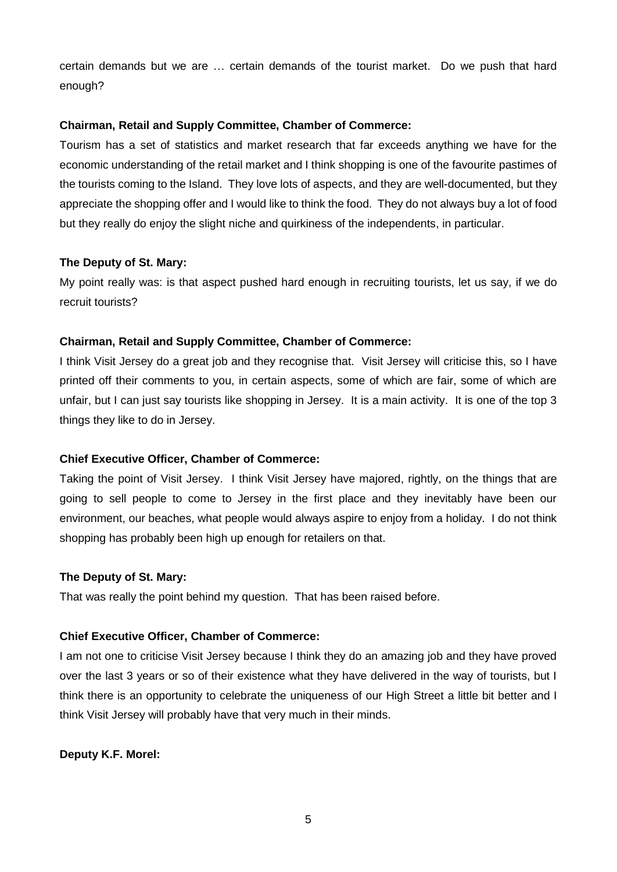certain demands but we are … certain demands of the tourist market. Do we push that hard enough?

## **Chairman, Retail and Supply Committee, Chamber of Commerce:**

Tourism has a set of statistics and market research that far exceeds anything we have for the economic understanding of the retail market and I think shopping is one of the favourite pastimes of the tourists coming to the Island. They love lots of aspects, and they are well-documented, but they appreciate the shopping offer and I would like to think the food. They do not always buy a lot of food but they really do enjoy the slight niche and quirkiness of the independents, in particular.

### **The Deputy of St. Mary:**

My point really was: is that aspect pushed hard enough in recruiting tourists, let us say, if we do recruit tourists?

### **Chairman, Retail and Supply Committee, Chamber of Commerce:**

I think Visit Jersey do a great job and they recognise that. Visit Jersey will criticise this, so I have printed off their comments to you, in certain aspects, some of which are fair, some of which are unfair, but I can just say tourists like shopping in Jersey. It is a main activity. It is one of the top 3 things they like to do in Jersey.

## **Chief Executive Officer, Chamber of Commerce:**

Taking the point of Visit Jersey. I think Visit Jersey have majored, rightly, on the things that are going to sell people to come to Jersey in the first place and they inevitably have been our environment, our beaches, what people would always aspire to enjoy from a holiday. I do not think shopping has probably been high up enough for retailers on that.

#### **The Deputy of St. Mary:**

That was really the point behind my question. That has been raised before.

#### **Chief Executive Officer, Chamber of Commerce:**

I am not one to criticise Visit Jersey because I think they do an amazing job and they have proved over the last 3 years or so of their existence what they have delivered in the way of tourists, but I think there is an opportunity to celebrate the uniqueness of our High Street a little bit better and I think Visit Jersey will probably have that very much in their minds.

## **Deputy K.F. Morel:**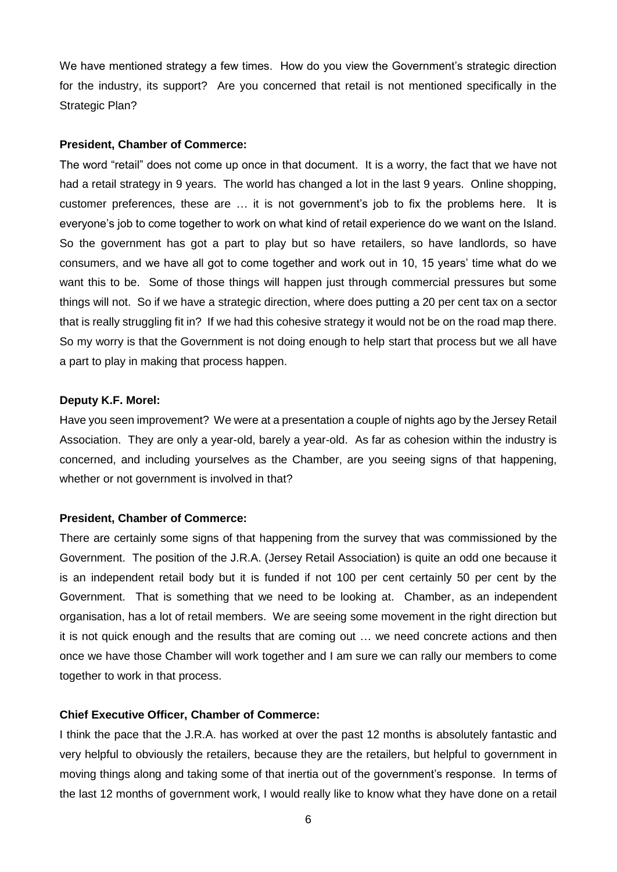We have mentioned strategy a few times. How do you view the Government's strategic direction for the industry, its support? Are you concerned that retail is not mentioned specifically in the Strategic Plan?

#### **President, Chamber of Commerce:**

The word "retail" does not come up once in that document. It is a worry, the fact that we have not had a retail strategy in 9 years. The world has changed a lot in the last 9 years. Online shopping, customer preferences, these are … it is not government's job to fix the problems here. It is everyone's job to come together to work on what kind of retail experience do we want on the Island. So the government has got a part to play but so have retailers, so have landlords, so have consumers, and we have all got to come together and work out in 10, 15 years' time what do we want this to be. Some of those things will happen just through commercial pressures but some things will not. So if we have a strategic direction, where does putting a 20 per cent tax on a sector that is really struggling fit in? If we had this cohesive strategy it would not be on the road map there. So my worry is that the Government is not doing enough to help start that process but we all have a part to play in making that process happen.

#### **Deputy K.F. Morel:**

Have you seen improvement? We were at a presentation a couple of nights ago by the Jersey Retail Association. They are only a year-old, barely a year-old. As far as cohesion within the industry is concerned, and including yourselves as the Chamber, are you seeing signs of that happening, whether or not government is involved in that?

#### **President, Chamber of Commerce:**

There are certainly some signs of that happening from the survey that was commissioned by the Government. The position of the J.R.A. (Jersey Retail Association) is quite an odd one because it is an independent retail body but it is funded if not 100 per cent certainly 50 per cent by the Government. That is something that we need to be looking at. Chamber, as an independent organisation, has a lot of retail members. We are seeing some movement in the right direction but it is not quick enough and the results that are coming out … we need concrete actions and then once we have those Chamber will work together and I am sure we can rally our members to come together to work in that process.

#### **Chief Executive Officer, Chamber of Commerce:**

I think the pace that the J.R.A. has worked at over the past 12 months is absolutely fantastic and very helpful to obviously the retailers, because they are the retailers, but helpful to government in moving things along and taking some of that inertia out of the government's response. In terms of the last 12 months of government work, I would really like to know what they have done on a retail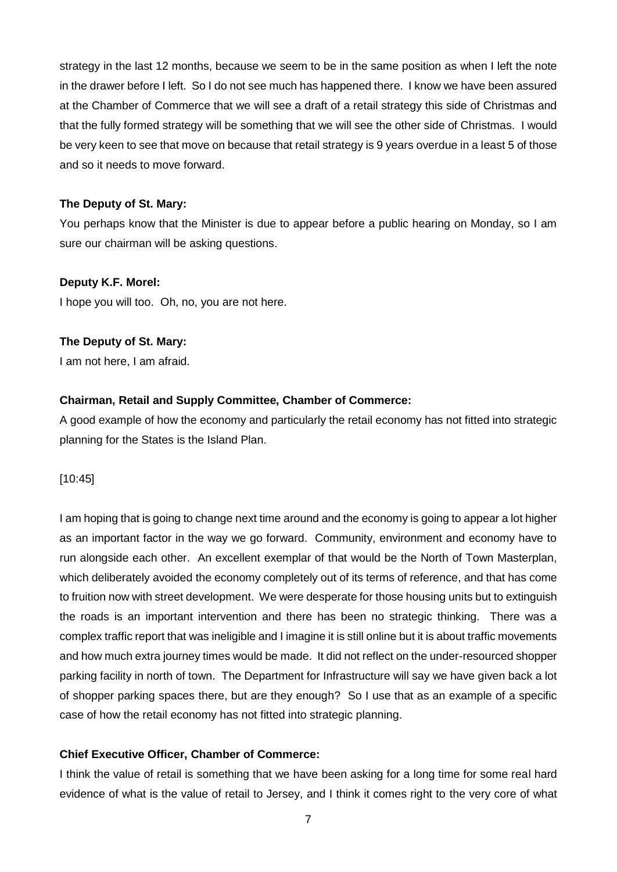strategy in the last 12 months, because we seem to be in the same position as when I left the note in the drawer before I left. So I do not see much has happened there. I know we have been assured at the Chamber of Commerce that we will see a draft of a retail strategy this side of Christmas and that the fully formed strategy will be something that we will see the other side of Christmas. I would be very keen to see that move on because that retail strategy is 9 years overdue in a least 5 of those and so it needs to move forward.

## **The Deputy of St. Mary:**

You perhaps know that the Minister is due to appear before a public hearing on Monday, so I am sure our chairman will be asking questions.

### **Deputy K.F. Morel:**

I hope you will too. Oh, no, you are not here.

### **The Deputy of St. Mary:**

I am not here, I am afraid.

### **Chairman, Retail and Supply Committee, Chamber of Commerce:**

A good example of how the economy and particularly the retail economy has not fitted into strategic planning for the States is the Island Plan.

[10:45]

I am hoping that is going to change next time around and the economy is going to appear a lot higher as an important factor in the way we go forward. Community, environment and economy have to run alongside each other. An excellent exemplar of that would be the North of Town Masterplan, which deliberately avoided the economy completely out of its terms of reference, and that has come to fruition now with street development. We were desperate for those housing units but to extinguish the roads is an important intervention and there has been no strategic thinking. There was a complex traffic report that was ineligible and I imagine it is still online but it is about traffic movements and how much extra journey times would be made. It did not reflect on the under-resourced shopper parking facility in north of town. The Department for Infrastructure will say we have given back a lot of shopper parking spaces there, but are they enough? So I use that as an example of a specific case of how the retail economy has not fitted into strategic planning.

## **Chief Executive Officer, Chamber of Commerce:**

I think the value of retail is something that we have been asking for a long time for some real hard evidence of what is the value of retail to Jersey, and I think it comes right to the very core of what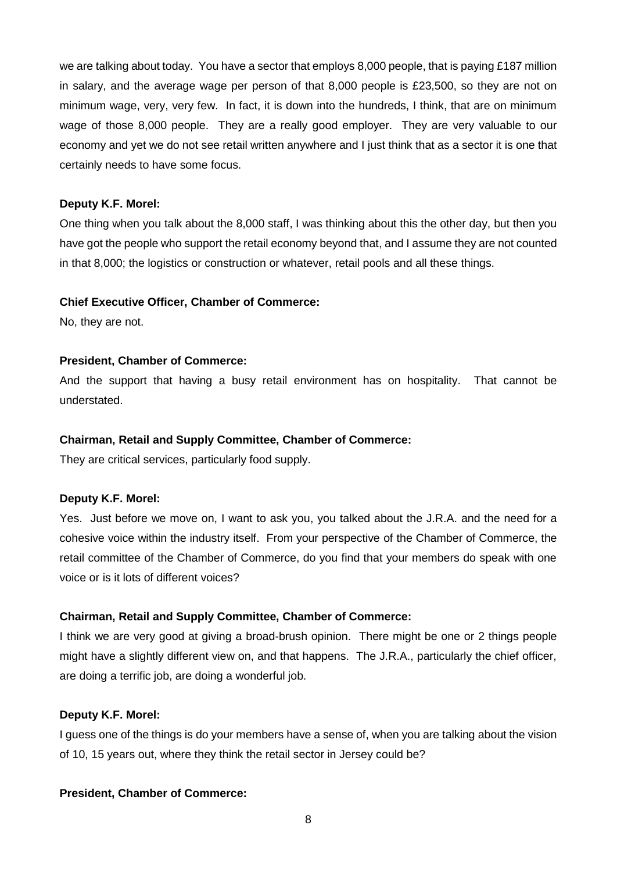we are talking about today. You have a sector that employs 8,000 people, that is paying £187 million in salary, and the average wage per person of that 8,000 people is £23,500, so they are not on minimum wage, very, very few. In fact, it is down into the hundreds, I think, that are on minimum wage of those 8,000 people. They are a really good employer. They are very valuable to our economy and yet we do not see retail written anywhere and I just think that as a sector it is one that certainly needs to have some focus.

#### **Deputy K.F. Morel:**

One thing when you talk about the 8,000 staff, I was thinking about this the other day, but then you have got the people who support the retail economy beyond that, and I assume they are not counted in that 8,000; the logistics or construction or whatever, retail pools and all these things.

### **Chief Executive Officer, Chamber of Commerce:**

No, they are not.

### **President, Chamber of Commerce:**

And the support that having a busy retail environment has on hospitality. That cannot be understated.

#### **Chairman, Retail and Supply Committee, Chamber of Commerce:**

They are critical services, particularly food supply.

## **Deputy K.F. Morel:**

Yes. Just before we move on, I want to ask you, you talked about the J.R.A. and the need for a cohesive voice within the industry itself. From your perspective of the Chamber of Commerce, the retail committee of the Chamber of Commerce, do you find that your members do speak with one voice or is it lots of different voices?

## **Chairman, Retail and Supply Committee, Chamber of Commerce:**

I think we are very good at giving a broad-brush opinion. There might be one or 2 things people might have a slightly different view on, and that happens. The J.R.A., particularly the chief officer, are doing a terrific job, are doing a wonderful job.

#### **Deputy K.F. Morel:**

I guess one of the things is do your members have a sense of, when you are talking about the vision of 10, 15 years out, where they think the retail sector in Jersey could be?

## **President, Chamber of Commerce:**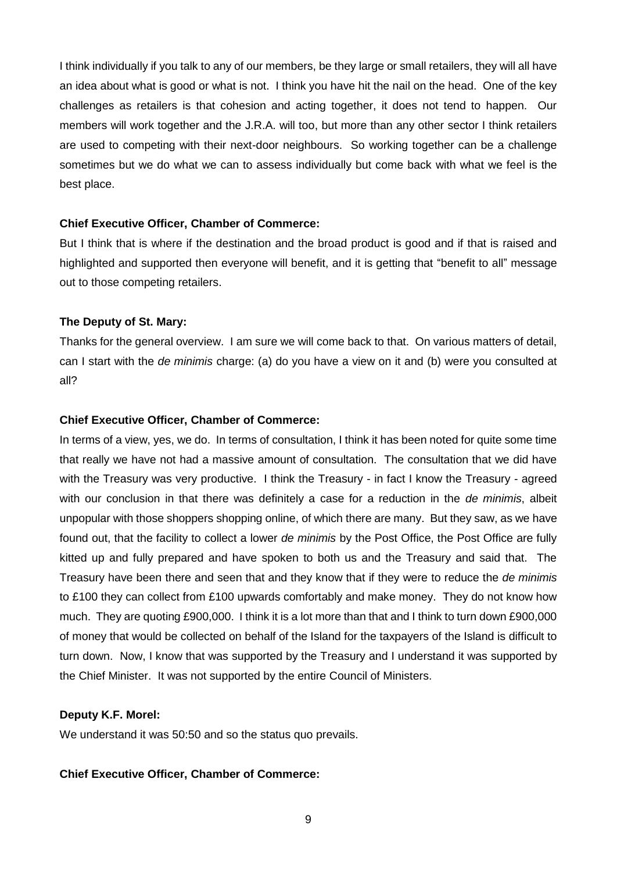I think individually if you talk to any of our members, be they large or small retailers, they will all have an idea about what is good or what is not. I think you have hit the nail on the head. One of the key challenges as retailers is that cohesion and acting together, it does not tend to happen. Our members will work together and the J.R.A. will too, but more than any other sector I think retailers are used to competing with their next-door neighbours. So working together can be a challenge sometimes but we do what we can to assess individually but come back with what we feel is the best place.

#### **Chief Executive Officer, Chamber of Commerce:**

But I think that is where if the destination and the broad product is good and if that is raised and highlighted and supported then everyone will benefit, and it is getting that "benefit to all" message out to those competing retailers.

#### **The Deputy of St. Mary:**

Thanks for the general overview. I am sure we will come back to that. On various matters of detail, can I start with the *de minimis* charge: (a) do you have a view on it and (b) were you consulted at all?

#### **Chief Executive Officer, Chamber of Commerce:**

In terms of a view, yes, we do. In terms of consultation, I think it has been noted for quite some time that really we have not had a massive amount of consultation. The consultation that we did have with the Treasury was very productive. I think the Treasury - in fact I know the Treasury - agreed with our conclusion in that there was definitely a case for a reduction in the *de minimis*, albeit unpopular with those shoppers shopping online, of which there are many. But they saw, as we have found out, that the facility to collect a lower *de minimis* by the Post Office, the Post Office are fully kitted up and fully prepared and have spoken to both us and the Treasury and said that. The Treasury have been there and seen that and they know that if they were to reduce the *de minimis* to £100 they can collect from £100 upwards comfortably and make money. They do not know how much. They are quoting £900,000. I think it is a lot more than that and I think to turn down £900,000 of money that would be collected on behalf of the Island for the taxpayers of the Island is difficult to turn down. Now, I know that was supported by the Treasury and I understand it was supported by the Chief Minister. It was not supported by the entire Council of Ministers.

#### **Deputy K.F. Morel:**

We understand it was 50:50 and so the status quo prevails.

#### **Chief Executive Officer, Chamber of Commerce:**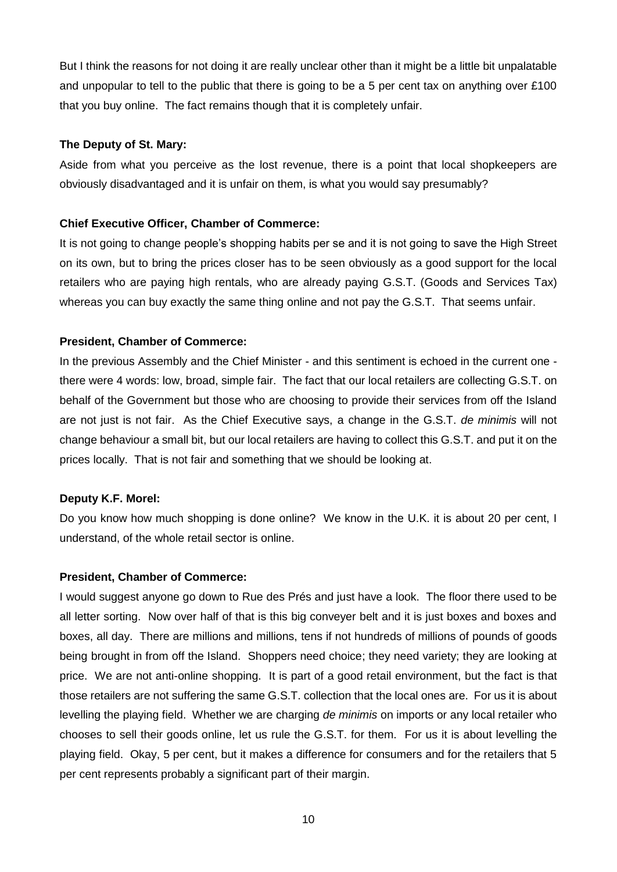But I think the reasons for not doing it are really unclear other than it might be a little bit unpalatable and unpopular to tell to the public that there is going to be a 5 per cent tax on anything over £100 that you buy online. The fact remains though that it is completely unfair.

## **The Deputy of St. Mary:**

Aside from what you perceive as the lost revenue, there is a point that local shopkeepers are obviously disadvantaged and it is unfair on them, is what you would say presumably?

## **Chief Executive Officer, Chamber of Commerce:**

It is not going to change people's shopping habits per se and it is not going to save the High Street on its own, but to bring the prices closer has to be seen obviously as a good support for the local retailers who are paying high rentals, who are already paying G.S.T. (Goods and Services Tax) whereas you can buy exactly the same thing online and not pay the G.S.T. That seems unfair.

### **President, Chamber of Commerce:**

In the previous Assembly and the Chief Minister - and this sentiment is echoed in the current one there were 4 words: low, broad, simple fair. The fact that our local retailers are collecting G.S.T. on behalf of the Government but those who are choosing to provide their services from off the Island are not just is not fair. As the Chief Executive says, a change in the G.S.T. *de minimis* will not change behaviour a small bit, but our local retailers are having to collect this G.S.T. and put it on the prices locally. That is not fair and something that we should be looking at.

## **Deputy K.F. Morel:**

Do you know how much shopping is done online? We know in the U.K. it is about 20 per cent, I understand, of the whole retail sector is online.

#### **President, Chamber of Commerce:**

I would suggest anyone go down to Rue des Prés and just have a look. The floor there used to be all letter sorting. Now over half of that is this big conveyer belt and it is just boxes and boxes and boxes, all day. There are millions and millions, tens if not hundreds of millions of pounds of goods being brought in from off the Island. Shoppers need choice; they need variety; they are looking at price. We are not anti-online shopping. It is part of a good retail environment, but the fact is that those retailers are not suffering the same G.S.T. collection that the local ones are. For us it is about levelling the playing field. Whether we are charging *de minimis* on imports or any local retailer who chooses to sell their goods online, let us rule the G.S.T. for them. For us it is about levelling the playing field. Okay, 5 per cent, but it makes a difference for consumers and for the retailers that 5 per cent represents probably a significant part of their margin.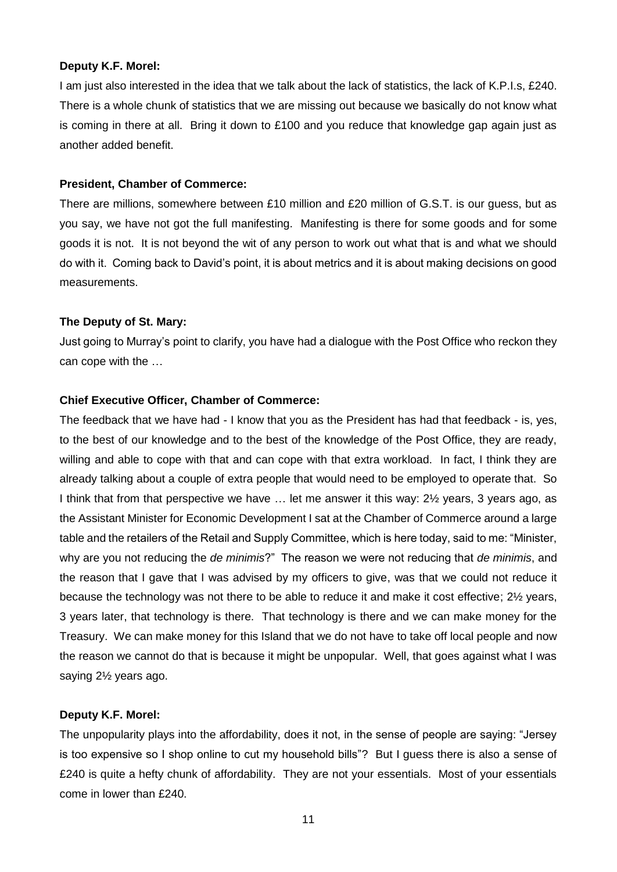#### **Deputy K.F. Morel:**

I am just also interested in the idea that we talk about the lack of statistics, the lack of K.P.I.s, £240. There is a whole chunk of statistics that we are missing out because we basically do not know what is coming in there at all. Bring it down to £100 and you reduce that knowledge gap again just as another added benefit.

### **President, Chamber of Commerce:**

There are millions, somewhere between £10 million and £20 million of G.S.T. is our guess, but as you say, we have not got the full manifesting. Manifesting is there for some goods and for some goods it is not. It is not beyond the wit of any person to work out what that is and what we should do with it. Coming back to David's point, it is about metrics and it is about making decisions on good measurements.

## **The Deputy of St. Mary:**

Just going to Murray's point to clarify, you have had a dialogue with the Post Office who reckon they can cope with the …

### **Chief Executive Officer, Chamber of Commerce:**

The feedback that we have had - I know that you as the President has had that feedback - is, yes, to the best of our knowledge and to the best of the knowledge of the Post Office, they are ready, willing and able to cope with that and can cope with that extra workload. In fact, I think they are already talking about a couple of extra people that would need to be employed to operate that. So I think that from that perspective we have … let me answer it this way: 2½ years, 3 years ago, as the Assistant Minister for Economic Development I sat at the Chamber of Commerce around a large table and the retailers of the Retail and Supply Committee, which is here today, said to me: "Minister, why are you not reducing the *de minimis*?" The reason we were not reducing that *de minimis*, and the reason that I gave that I was advised by my officers to give, was that we could not reduce it because the technology was not there to be able to reduce it and make it cost effective; 2½ years, 3 years later, that technology is there. That technology is there and we can make money for the Treasury. We can make money for this Island that we do not have to take off local people and now the reason we cannot do that is because it might be unpopular. Well, that goes against what I was saying 2½ years ago.

#### **Deputy K.F. Morel:**

The unpopularity plays into the affordability, does it not, in the sense of people are saying: "Jersey is too expensive so I shop online to cut my household bills"? But I guess there is also a sense of £240 is quite a hefty chunk of affordability. They are not your essentials. Most of your essentials come in lower than £240.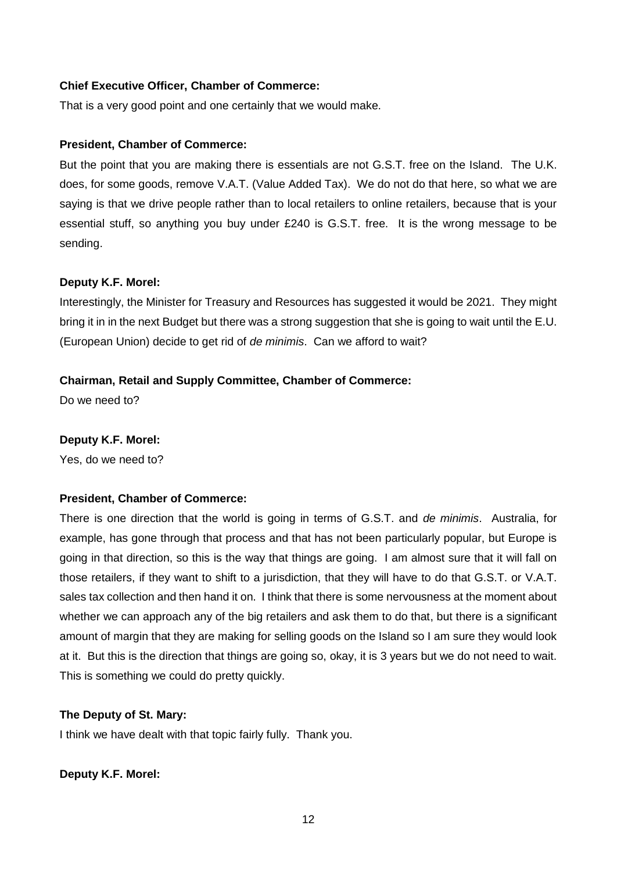## **Chief Executive Officer, Chamber of Commerce:**

That is a very good point and one certainly that we would make.

#### **President, Chamber of Commerce:**

But the point that you are making there is essentials are not G.S.T. free on the Island. The U.K. does, for some goods, remove V.A.T. (Value Added Tax). We do not do that here, so what we are saying is that we drive people rather than to local retailers to online retailers, because that is your essential stuff, so anything you buy under £240 is G.S.T. free. It is the wrong message to be sending.

### **Deputy K.F. Morel:**

Interestingly, the Minister for Treasury and Resources has suggested it would be 2021. They might bring it in in the next Budget but there was a strong suggestion that she is going to wait until the E.U. (European Union) decide to get rid of *de minimis*. Can we afford to wait?

## **Chairman, Retail and Supply Committee, Chamber of Commerce:**

Do we need to?

#### **Deputy K.F. Morel:**

Yes, do we need to?

## **President, Chamber of Commerce:**

There is one direction that the world is going in terms of G.S.T. and *de minimis*. Australia, for example, has gone through that process and that has not been particularly popular, but Europe is going in that direction, so this is the way that things are going. I am almost sure that it will fall on those retailers, if they want to shift to a jurisdiction, that they will have to do that G.S.T. or V.A.T. sales tax collection and then hand it on. I think that there is some nervousness at the moment about whether we can approach any of the big retailers and ask them to do that, but there is a significant amount of margin that they are making for selling goods on the Island so I am sure they would look at it. But this is the direction that things are going so, okay, it is 3 years but we do not need to wait. This is something we could do pretty quickly.

#### **The Deputy of St. Mary:**

I think we have dealt with that topic fairly fully. Thank you.

#### **Deputy K.F. Morel:**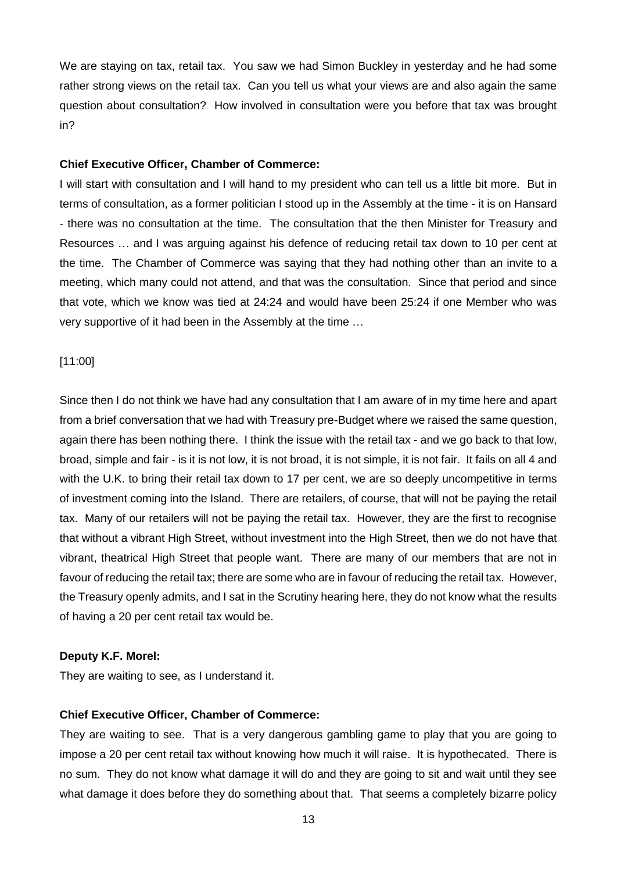We are staying on tax, retail tax. You saw we had Simon Buckley in yesterday and he had some rather strong views on the retail tax. Can you tell us what your views are and also again the same question about consultation? How involved in consultation were you before that tax was brought in?

#### **Chief Executive Officer, Chamber of Commerce:**

I will start with consultation and I will hand to my president who can tell us a little bit more. But in terms of consultation, as a former politician I stood up in the Assembly at the time - it is on Hansard - there was no consultation at the time. The consultation that the then Minister for Treasury and Resources … and I was arguing against his defence of reducing retail tax down to 10 per cent at the time. The Chamber of Commerce was saying that they had nothing other than an invite to a meeting, which many could not attend, and that was the consultation. Since that period and since that vote, which we know was tied at 24:24 and would have been 25:24 if one Member who was very supportive of it had been in the Assembly at the time …

[11:00]

Since then I do not think we have had any consultation that I am aware of in my time here and apart from a brief conversation that we had with Treasury pre-Budget where we raised the same question, again there has been nothing there. I think the issue with the retail tax - and we go back to that low, broad, simple and fair - is it is not low, it is not broad, it is not simple, it is not fair. It fails on all 4 and with the U.K. to bring their retail tax down to 17 per cent, we are so deeply uncompetitive in terms of investment coming into the Island. There are retailers, of course, that will not be paying the retail tax. Many of our retailers will not be paying the retail tax. However, they are the first to recognise that without a vibrant High Street, without investment into the High Street, then we do not have that vibrant, theatrical High Street that people want. There are many of our members that are not in favour of reducing the retail tax; there are some who are in favour of reducing the retail tax. However, the Treasury openly admits, and I sat in the Scrutiny hearing here, they do not know what the results of having a 20 per cent retail tax would be.

#### **Deputy K.F. Morel:**

They are waiting to see, as I understand it.

#### **Chief Executive Officer, Chamber of Commerce:**

They are waiting to see. That is a very dangerous gambling game to play that you are going to impose a 20 per cent retail tax without knowing how much it will raise. It is hypothecated. There is no sum. They do not know what damage it will do and they are going to sit and wait until they see what damage it does before they do something about that. That seems a completely bizarre policy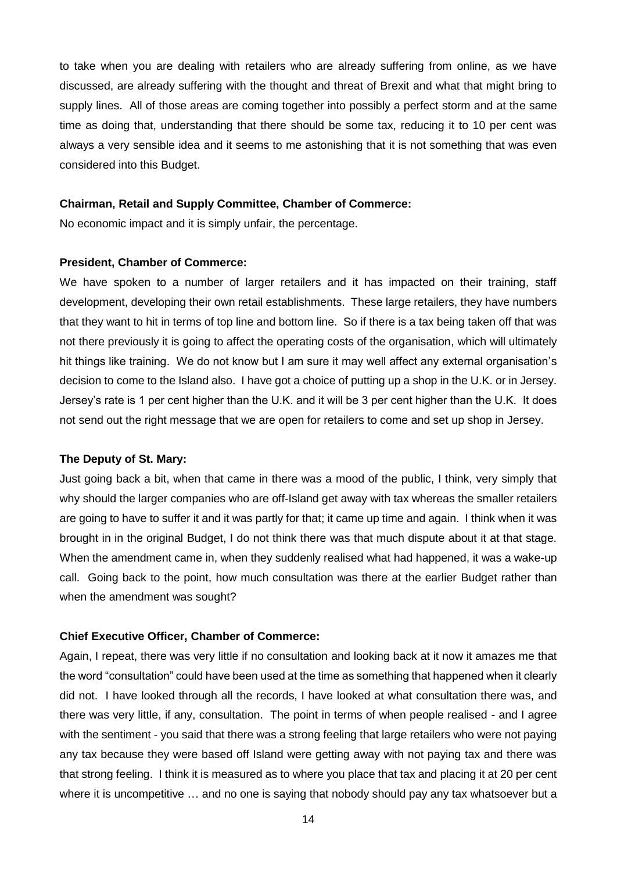to take when you are dealing with retailers who are already suffering from online, as we have discussed, are already suffering with the thought and threat of Brexit and what that might bring to supply lines. All of those areas are coming together into possibly a perfect storm and at the same time as doing that, understanding that there should be some tax, reducing it to 10 per cent was always a very sensible idea and it seems to me astonishing that it is not something that was even considered into this Budget.

#### **Chairman, Retail and Supply Committee, Chamber of Commerce:**

No economic impact and it is simply unfair, the percentage.

#### **President, Chamber of Commerce:**

We have spoken to a number of larger retailers and it has impacted on their training, staff development, developing their own retail establishments. These large retailers, they have numbers that they want to hit in terms of top line and bottom line. So if there is a tax being taken off that was not there previously it is going to affect the operating costs of the organisation, which will ultimately hit things like training. We do not know but I am sure it may well affect any external organisation's decision to come to the Island also. I have got a choice of putting up a shop in the U.K. or in Jersey. Jersey's rate is 1 per cent higher than the U.K. and it will be 3 per cent higher than the U.K. It does not send out the right message that we are open for retailers to come and set up shop in Jersey.

#### **The Deputy of St. Mary:**

Just going back a bit, when that came in there was a mood of the public, I think, very simply that why should the larger companies who are off-Island get away with tax whereas the smaller retailers are going to have to suffer it and it was partly for that; it came up time and again. I think when it was brought in in the original Budget, I do not think there was that much dispute about it at that stage. When the amendment came in, when they suddenly realised what had happened, it was a wake-up call. Going back to the point, how much consultation was there at the earlier Budget rather than when the amendment was sought?

#### **Chief Executive Officer, Chamber of Commerce:**

Again, I repeat, there was very little if no consultation and looking back at it now it amazes me that the word "consultation" could have been used at the time as something that happened when it clearly did not. I have looked through all the records, I have looked at what consultation there was, and there was very little, if any, consultation. The point in terms of when people realised - and I agree with the sentiment - you said that there was a strong feeling that large retailers who were not paying any tax because they were based off Island were getting away with not paying tax and there was that strong feeling. I think it is measured as to where you place that tax and placing it at 20 per cent where it is uncompetitive … and no one is saying that nobody should pay any tax whatsoever but a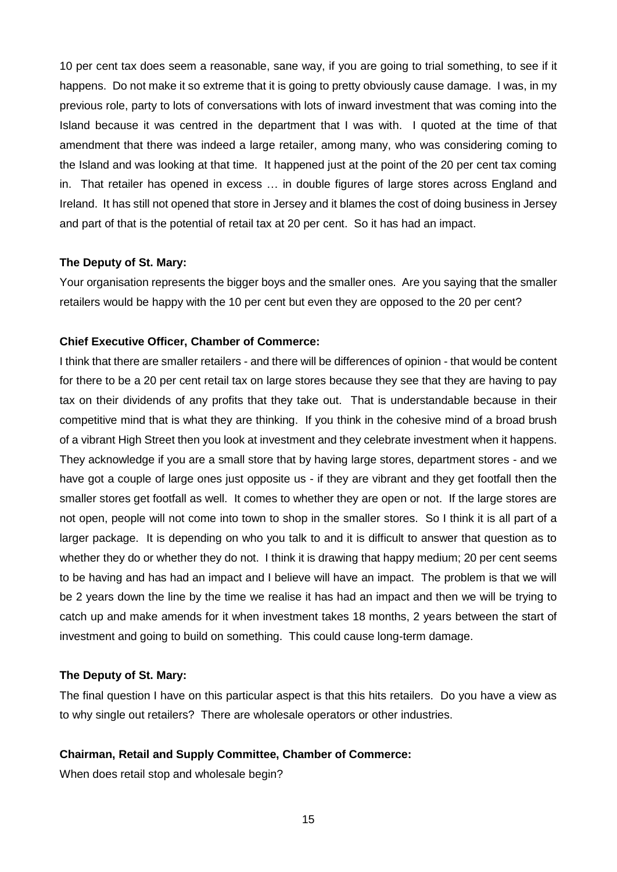10 per cent tax does seem a reasonable, sane way, if you are going to trial something, to see if it happens. Do not make it so extreme that it is going to pretty obviously cause damage. I was, in my previous role, party to lots of conversations with lots of inward investment that was coming into the Island because it was centred in the department that I was with. I quoted at the time of that amendment that there was indeed a large retailer, among many, who was considering coming to the Island and was looking at that time. It happened just at the point of the 20 per cent tax coming in. That retailer has opened in excess … in double figures of large stores across England and Ireland. It has still not opened that store in Jersey and it blames the cost of doing business in Jersey and part of that is the potential of retail tax at 20 per cent. So it has had an impact.

#### **The Deputy of St. Mary:**

Your organisation represents the bigger boys and the smaller ones. Are you saying that the smaller retailers would be happy with the 10 per cent but even they are opposed to the 20 per cent?

#### **Chief Executive Officer, Chamber of Commerce:**

I think that there are smaller retailers - and there will be differences of opinion - that would be content for there to be a 20 per cent retail tax on large stores because they see that they are having to pay tax on their dividends of any profits that they take out. That is understandable because in their competitive mind that is what they are thinking. If you think in the cohesive mind of a broad brush of a vibrant High Street then you look at investment and they celebrate investment when it happens. They acknowledge if you are a small store that by having large stores, department stores - and we have got a couple of large ones just opposite us - if they are vibrant and they get footfall then the smaller stores get footfall as well. It comes to whether they are open or not. If the large stores are not open, people will not come into town to shop in the smaller stores. So I think it is all part of a larger package. It is depending on who you talk to and it is difficult to answer that question as to whether they do or whether they do not. I think it is drawing that happy medium; 20 per cent seems to be having and has had an impact and I believe will have an impact. The problem is that we will be 2 years down the line by the time we realise it has had an impact and then we will be trying to catch up and make amends for it when investment takes 18 months, 2 years between the start of investment and going to build on something. This could cause long-term damage.

### **The Deputy of St. Mary:**

The final question I have on this particular aspect is that this hits retailers. Do you have a view as to why single out retailers? There are wholesale operators or other industries.

#### **Chairman, Retail and Supply Committee, Chamber of Commerce:**

When does retail stop and wholesale begin?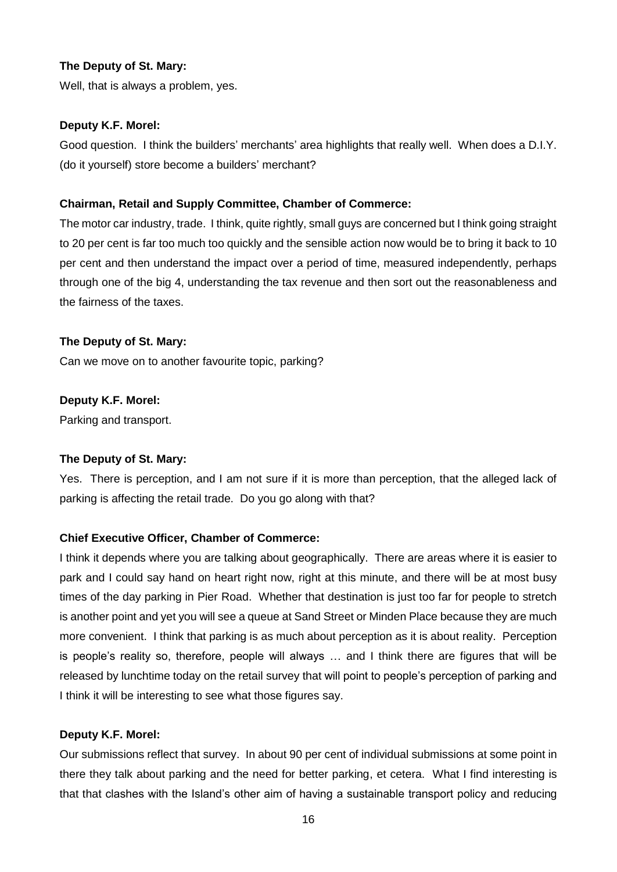## **The Deputy of St. Mary:**

Well, that is always a problem, yes.

#### **Deputy K.F. Morel:**

Good question. I think the builders' merchants' area highlights that really well. When does a D.I.Y. (do it yourself) store become a builders' merchant?

#### **Chairman, Retail and Supply Committee, Chamber of Commerce:**

The motor car industry, trade. I think, quite rightly, small guys are concerned but I think going straight to 20 per cent is far too much too quickly and the sensible action now would be to bring it back to 10 per cent and then understand the impact over a period of time, measured independently, perhaps through one of the big 4, understanding the tax revenue and then sort out the reasonableness and the fairness of the taxes.

### **The Deputy of St. Mary:**

Can we move on to another favourite topic, parking?

### **Deputy K.F. Morel:**

Parking and transport.

## **The Deputy of St. Mary:**

Yes. There is perception, and I am not sure if it is more than perception, that the alleged lack of parking is affecting the retail trade. Do you go along with that?

## **Chief Executive Officer, Chamber of Commerce:**

I think it depends where you are talking about geographically. There are areas where it is easier to park and I could say hand on heart right now, right at this minute, and there will be at most busy times of the day parking in Pier Road. Whether that destination is just too far for people to stretch is another point and yet you will see a queue at Sand Street or Minden Place because they are much more convenient. I think that parking is as much about perception as it is about reality. Perception is people's reality so, therefore, people will always … and I think there are figures that will be released by lunchtime today on the retail survey that will point to people's perception of parking and I think it will be interesting to see what those figures say.

#### **Deputy K.F. Morel:**

Our submissions reflect that survey. In about 90 per cent of individual submissions at some point in there they talk about parking and the need for better parking, et cetera. What I find interesting is that that clashes with the Island's other aim of having a sustainable transport policy and reducing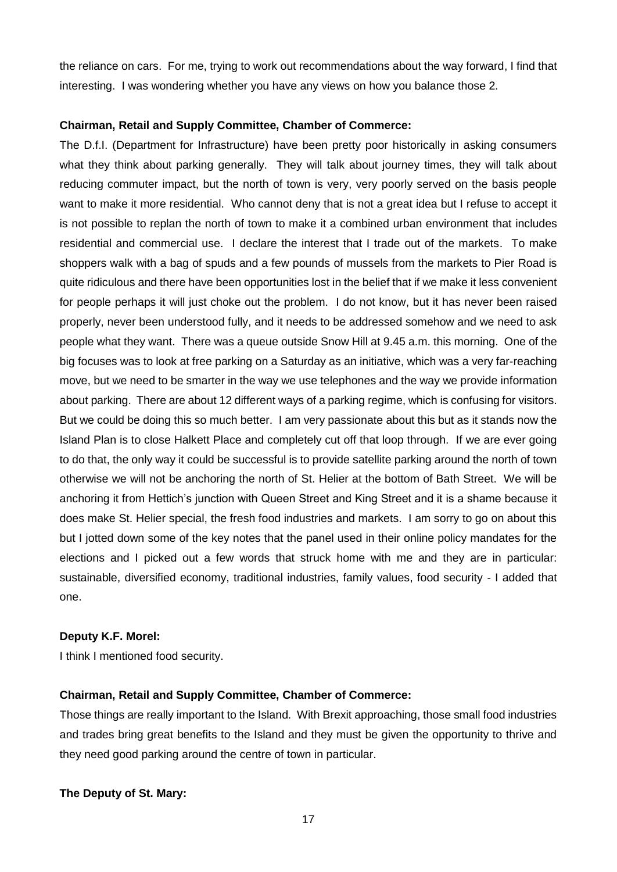the reliance on cars. For me, trying to work out recommendations about the way forward, I find that interesting. I was wondering whether you have any views on how you balance those 2.

## **Chairman, Retail and Supply Committee, Chamber of Commerce:**

The D.f.I. (Department for Infrastructure) have been pretty poor historically in asking consumers what they think about parking generally. They will talk about journey times, they will talk about reducing commuter impact, but the north of town is very, very poorly served on the basis people want to make it more residential. Who cannot deny that is not a great idea but I refuse to accept it is not possible to replan the north of town to make it a combined urban environment that includes residential and commercial use. I declare the interest that I trade out of the markets. To make shoppers walk with a bag of spuds and a few pounds of mussels from the markets to Pier Road is quite ridiculous and there have been opportunities lost in the belief that if we make it less convenient for people perhaps it will just choke out the problem. I do not know, but it has never been raised properly, never been understood fully, and it needs to be addressed somehow and we need to ask people what they want. There was a queue outside Snow Hill at 9.45 a.m. this morning. One of the big focuses was to look at free parking on a Saturday as an initiative, which was a very far-reaching move, but we need to be smarter in the way we use telephones and the way we provide information about parking. There are about 12 different ways of a parking regime, which is confusing for visitors. But we could be doing this so much better. I am very passionate about this but as it stands now the Island Plan is to close Halkett Place and completely cut off that loop through. If we are ever going to do that, the only way it could be successful is to provide satellite parking around the north of town otherwise we will not be anchoring the north of St. Helier at the bottom of Bath Street. We will be anchoring it from Hettich's junction with Queen Street and King Street and it is a shame because it does make St. Helier special, the fresh food industries and markets. I am sorry to go on about this but I jotted down some of the key notes that the panel used in their online policy mandates for the elections and I picked out a few words that struck home with me and they are in particular: sustainable, diversified economy, traditional industries, family values, food security - I added that one.

## **Deputy K.F. Morel:**

I think I mentioned food security.

# **Chairman, Retail and Supply Committee, Chamber of Commerce:**

Those things are really important to the Island. With Brexit approaching, those small food industries and trades bring great benefits to the Island and they must be given the opportunity to thrive and they need good parking around the centre of town in particular.

**The Deputy of St. Mary:**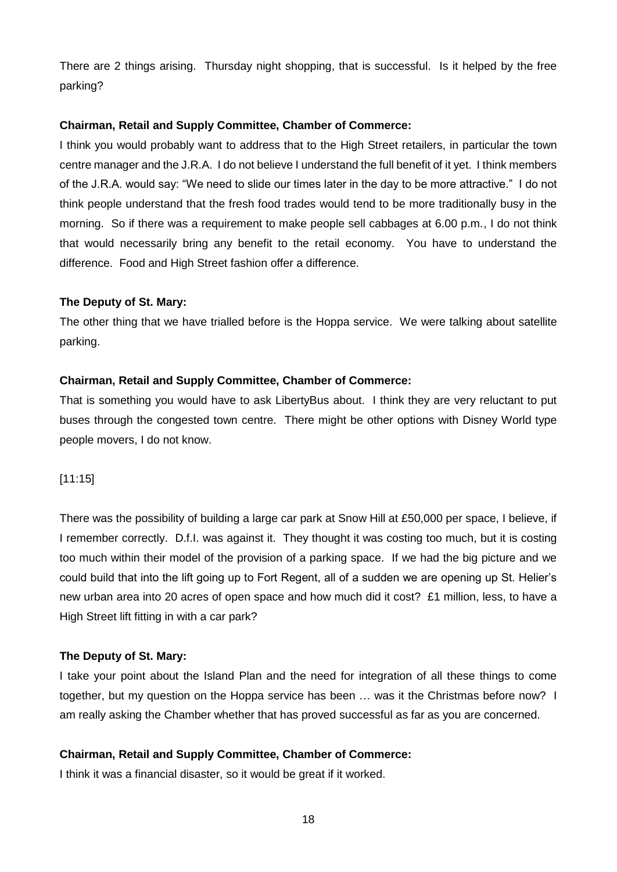There are 2 things arising. Thursday night shopping, that is successful. Is it helped by the free parking?

## **Chairman, Retail and Supply Committee, Chamber of Commerce:**

I think you would probably want to address that to the High Street retailers, in particular the town centre manager and the J.R.A. I do not believe I understand the full benefit of it yet. I think members of the J.R.A. would say: "We need to slide our times later in the day to be more attractive." I do not think people understand that the fresh food trades would tend to be more traditionally busy in the morning. So if there was a requirement to make people sell cabbages at 6.00 p.m., I do not think that would necessarily bring any benefit to the retail economy. You have to understand the difference. Food and High Street fashion offer a difference.

## **The Deputy of St. Mary:**

The other thing that we have trialled before is the Hoppa service. We were talking about satellite parking.

## **Chairman, Retail and Supply Committee, Chamber of Commerce:**

That is something you would have to ask LibertyBus about. I think they are very reluctant to put buses through the congested town centre. There might be other options with Disney World type people movers, I do not know.

## [11:15]

There was the possibility of building a large car park at Snow Hill at £50,000 per space, I believe, if I remember correctly. D.f.I. was against it. They thought it was costing too much, but it is costing too much within their model of the provision of a parking space. If we had the big picture and we could build that into the lift going up to Fort Regent, all of a sudden we are opening up St. Helier's new urban area into 20 acres of open space and how much did it cost? £1 million, less, to have a High Street lift fitting in with a car park?

## **The Deputy of St. Mary:**

I take your point about the Island Plan and the need for integration of all these things to come together, but my question on the Hoppa service has been … was it the Christmas before now? I am really asking the Chamber whether that has proved successful as far as you are concerned.

## **Chairman, Retail and Supply Committee, Chamber of Commerce:**

I think it was a financial disaster, so it would be great if it worked.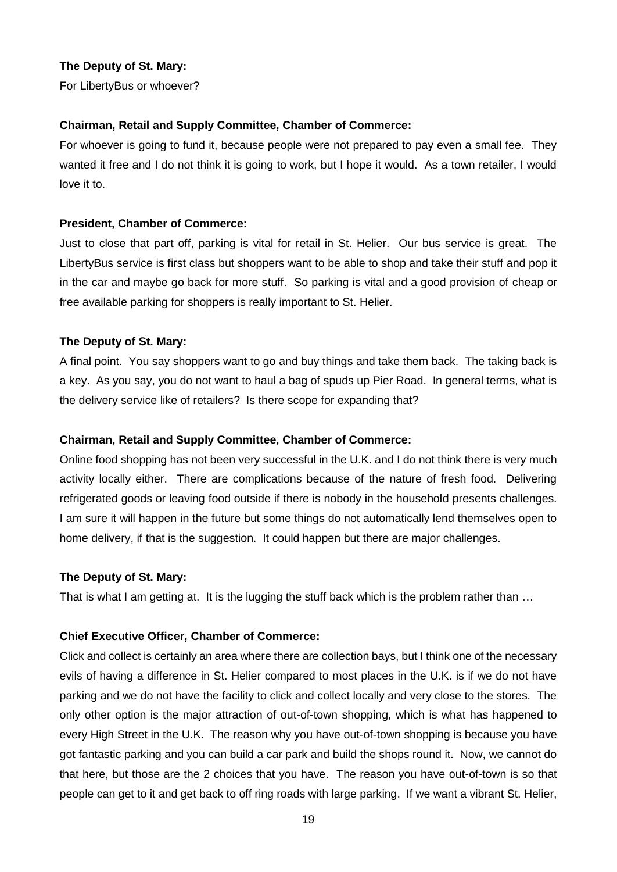## **The Deputy of St. Mary:**

For LibertyBus or whoever?

#### **Chairman, Retail and Supply Committee, Chamber of Commerce:**

For whoever is going to fund it, because people were not prepared to pay even a small fee. They wanted it free and I do not think it is going to work, but I hope it would. As a town retailer, I would love it to.

#### **President, Chamber of Commerce:**

Just to close that part off, parking is vital for retail in St. Helier. Our bus service is great. The LibertyBus service is first class but shoppers want to be able to shop and take their stuff and pop it in the car and maybe go back for more stuff. So parking is vital and a good provision of cheap or free available parking for shoppers is really important to St. Helier.

### **The Deputy of St. Mary:**

A final point. You say shoppers want to go and buy things and take them back. The taking back is a key. As you say, you do not want to haul a bag of spuds up Pier Road. In general terms, what is the delivery service like of retailers? Is there scope for expanding that?

#### **Chairman, Retail and Supply Committee, Chamber of Commerce:**

Online food shopping has not been very successful in the U.K. and I do not think there is very much activity locally either. There are complications because of the nature of fresh food. Delivering refrigerated goods or leaving food outside if there is nobody in the household presents challenges. I am sure it will happen in the future but some things do not automatically lend themselves open to home delivery, if that is the suggestion. It could happen but there are major challenges.

#### **The Deputy of St. Mary:**

That is what I am getting at. It is the lugging the stuff back which is the problem rather than …

#### **Chief Executive Officer, Chamber of Commerce:**

Click and collect is certainly an area where there are collection bays, but I think one of the necessary evils of having a difference in St. Helier compared to most places in the U.K. is if we do not have parking and we do not have the facility to click and collect locally and very close to the stores. The only other option is the major attraction of out-of-town shopping, which is what has happened to every High Street in the U.K. The reason why you have out-of-town shopping is because you have got fantastic parking and you can build a car park and build the shops round it. Now, we cannot do that here, but those are the 2 choices that you have. The reason you have out-of-town is so that people can get to it and get back to off ring roads with large parking. If we want a vibrant St. Helier,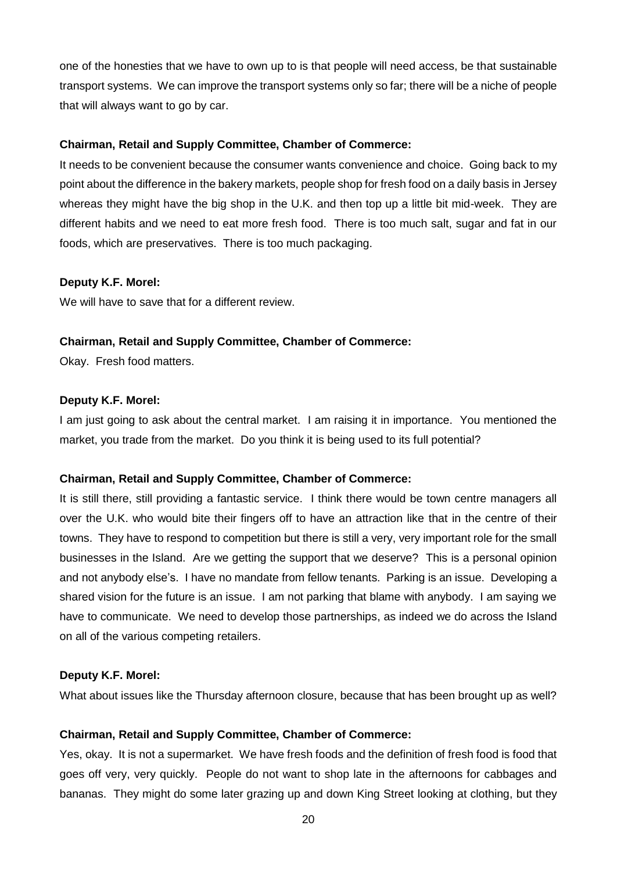one of the honesties that we have to own up to is that people will need access, be that sustainable transport systems. We can improve the transport systems only so far; there will be a niche of people that will always want to go by car.

### **Chairman, Retail and Supply Committee, Chamber of Commerce:**

It needs to be convenient because the consumer wants convenience and choice. Going back to my point about the difference in the bakery markets, people shop for fresh food on a daily basis in Jersey whereas they might have the big shop in the U.K. and then top up a little bit mid-week. They are different habits and we need to eat more fresh food. There is too much salt, sugar and fat in our foods, which are preservatives. There is too much packaging.

### **Deputy K.F. Morel:**

We will have to save that for a different review.

### **Chairman, Retail and Supply Committee, Chamber of Commerce:**

Okay. Fresh food matters.

### **Deputy K.F. Morel:**

I am just going to ask about the central market. I am raising it in importance. You mentioned the market, you trade from the market. Do you think it is being used to its full potential?

## **Chairman, Retail and Supply Committee, Chamber of Commerce:**

It is still there, still providing a fantastic service. I think there would be town centre managers all over the U.K. who would bite their fingers off to have an attraction like that in the centre of their towns. They have to respond to competition but there is still a very, very important role for the small businesses in the Island. Are we getting the support that we deserve? This is a personal opinion and not anybody else's. I have no mandate from fellow tenants. Parking is an issue. Developing a shared vision for the future is an issue. I am not parking that blame with anybody. I am saying we have to communicate. We need to develop those partnerships, as indeed we do across the Island on all of the various competing retailers.

#### **Deputy K.F. Morel:**

What about issues like the Thursday afternoon closure, because that has been brought up as well?

## **Chairman, Retail and Supply Committee, Chamber of Commerce:**

Yes, okay. It is not a supermarket. We have fresh foods and the definition of fresh food is food that goes off very, very quickly. People do not want to shop late in the afternoons for cabbages and bananas. They might do some later grazing up and down King Street looking at clothing, but they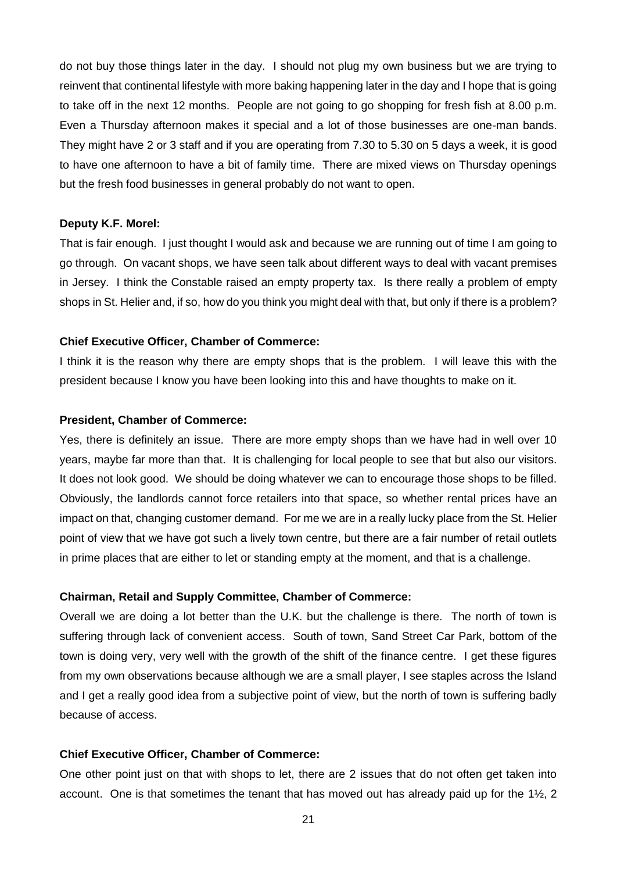do not buy those things later in the day. I should not plug my own business but we are trying to reinvent that continental lifestyle with more baking happening later in the day and I hope that is going to take off in the next 12 months. People are not going to go shopping for fresh fish at 8.00 p.m. Even a Thursday afternoon makes it special and a lot of those businesses are one-man bands. They might have 2 or 3 staff and if you are operating from 7.30 to 5.30 on 5 days a week, it is good to have one afternoon to have a bit of family time. There are mixed views on Thursday openings but the fresh food businesses in general probably do not want to open.

#### **Deputy K.F. Morel:**

That is fair enough. I just thought I would ask and because we are running out of time I am going to go through. On vacant shops, we have seen talk about different ways to deal with vacant premises in Jersey. I think the Constable raised an empty property tax. Is there really a problem of empty shops in St. Helier and, if so, how do you think you might deal with that, but only if there is a problem?

#### **Chief Executive Officer, Chamber of Commerce:**

I think it is the reason why there are empty shops that is the problem. I will leave this with the president because I know you have been looking into this and have thoughts to make on it.

#### **President, Chamber of Commerce:**

Yes, there is definitely an issue. There are more empty shops than we have had in well over 10 years, maybe far more than that. It is challenging for local people to see that but also our visitors. It does not look good. We should be doing whatever we can to encourage those shops to be filled. Obviously, the landlords cannot force retailers into that space, so whether rental prices have an impact on that, changing customer demand. For me we are in a really lucky place from the St. Helier point of view that we have got such a lively town centre, but there are a fair number of retail outlets in prime places that are either to let or standing empty at the moment, and that is a challenge.

#### **Chairman, Retail and Supply Committee, Chamber of Commerce:**

Overall we are doing a lot better than the U.K. but the challenge is there. The north of town is suffering through lack of convenient access. South of town, Sand Street Car Park, bottom of the town is doing very, very well with the growth of the shift of the finance centre. I get these figures from my own observations because although we are a small player, I see staples across the Island and I get a really good idea from a subjective point of view, but the north of town is suffering badly because of access.

#### **Chief Executive Officer, Chamber of Commerce:**

One other point just on that with shops to let, there are 2 issues that do not often get taken into account. One is that sometimes the tenant that has moved out has already paid up for the  $1\frac{1}{2}$ , 2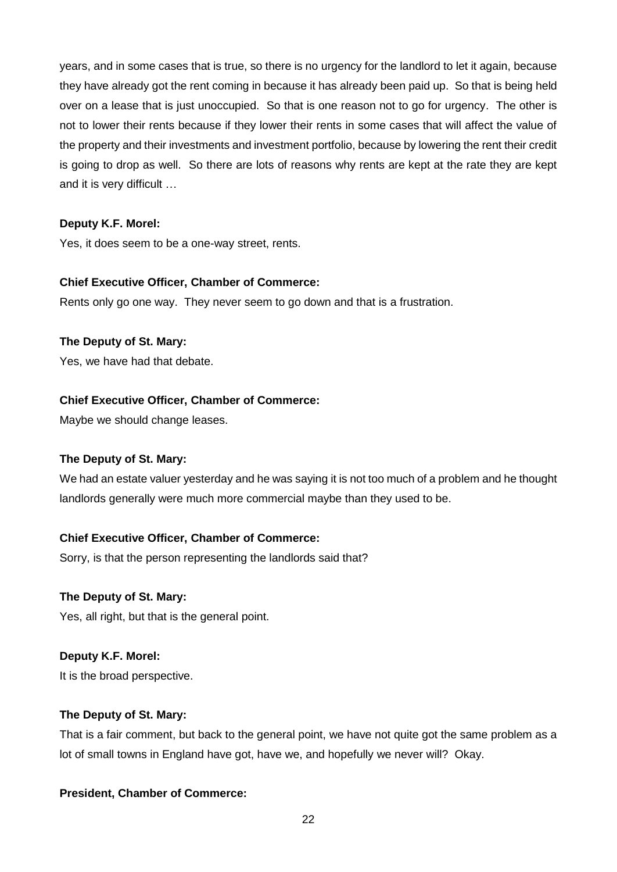years, and in some cases that is true, so there is no urgency for the landlord to let it again, because they have already got the rent coming in because it has already been paid up. So that is being held over on a lease that is just unoccupied. So that is one reason not to go for urgency. The other is not to lower their rents because if they lower their rents in some cases that will affect the value of the property and their investments and investment portfolio, because by lowering the rent their credit is going to drop as well. So there are lots of reasons why rents are kept at the rate they are kept and it is very difficult …

## **Deputy K.F. Morel:**

Yes, it does seem to be a one-way street, rents.

## **Chief Executive Officer, Chamber of Commerce:**

Rents only go one way. They never seem to go down and that is a frustration.

## **The Deputy of St. Mary:**

Yes, we have had that debate.

## **Chief Executive Officer, Chamber of Commerce:**

Maybe we should change leases.

## **The Deputy of St. Mary:**

We had an estate valuer yesterday and he was saying it is not too much of a problem and he thought landlords generally were much more commercial maybe than they used to be.

## **Chief Executive Officer, Chamber of Commerce:**

Sorry, is that the person representing the landlords said that?

# **The Deputy of St. Mary:**

Yes, all right, but that is the general point.

# **Deputy K.F. Morel:**

It is the broad perspective.

## **The Deputy of St. Mary:**

That is a fair comment, but back to the general point, we have not quite got the same problem as a lot of small towns in England have got, have we, and hopefully we never will? Okay.

# **President, Chamber of Commerce:**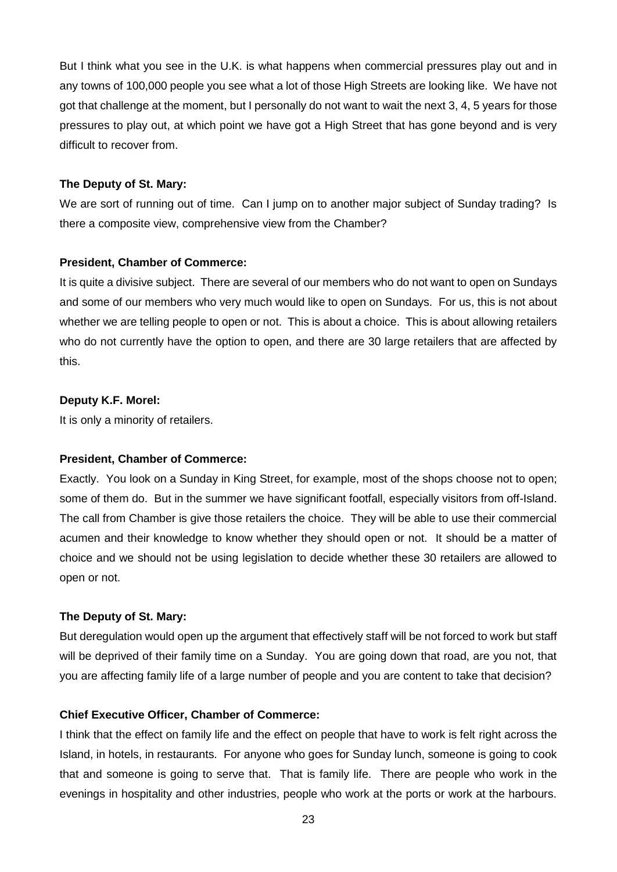But I think what you see in the U.K. is what happens when commercial pressures play out and in any towns of 100,000 people you see what a lot of those High Streets are looking like. We have not got that challenge at the moment, but I personally do not want to wait the next 3, 4, 5 years for those pressures to play out, at which point we have got a High Street that has gone beyond and is very difficult to recover from.

#### **The Deputy of St. Mary:**

We are sort of running out of time. Can I jump on to another major subject of Sunday trading? Is there a composite view, comprehensive view from the Chamber?

#### **President, Chamber of Commerce:**

It is quite a divisive subject. There are several of our members who do not want to open on Sundays and some of our members who very much would like to open on Sundays. For us, this is not about whether we are telling people to open or not. This is about a choice. This is about allowing retailers who do not currently have the option to open, and there are 30 large retailers that are affected by this.

#### **Deputy K.F. Morel:**

It is only a minority of retailers.

#### **President, Chamber of Commerce:**

Exactly. You look on a Sunday in King Street, for example, most of the shops choose not to open; some of them do. But in the summer we have significant footfall, especially visitors from off-Island. The call from Chamber is give those retailers the choice. They will be able to use their commercial acumen and their knowledge to know whether they should open or not. It should be a matter of choice and we should not be using legislation to decide whether these 30 retailers are allowed to open or not.

#### **The Deputy of St. Mary:**

But deregulation would open up the argument that effectively staff will be not forced to work but staff will be deprived of their family time on a Sunday. You are going down that road, are you not, that you are affecting family life of a large number of people and you are content to take that decision?

#### **Chief Executive Officer, Chamber of Commerce:**

I think that the effect on family life and the effect on people that have to work is felt right across the Island, in hotels, in restaurants. For anyone who goes for Sunday lunch, someone is going to cook that and someone is going to serve that. That is family life. There are people who work in the evenings in hospitality and other industries, people who work at the ports or work at the harbours.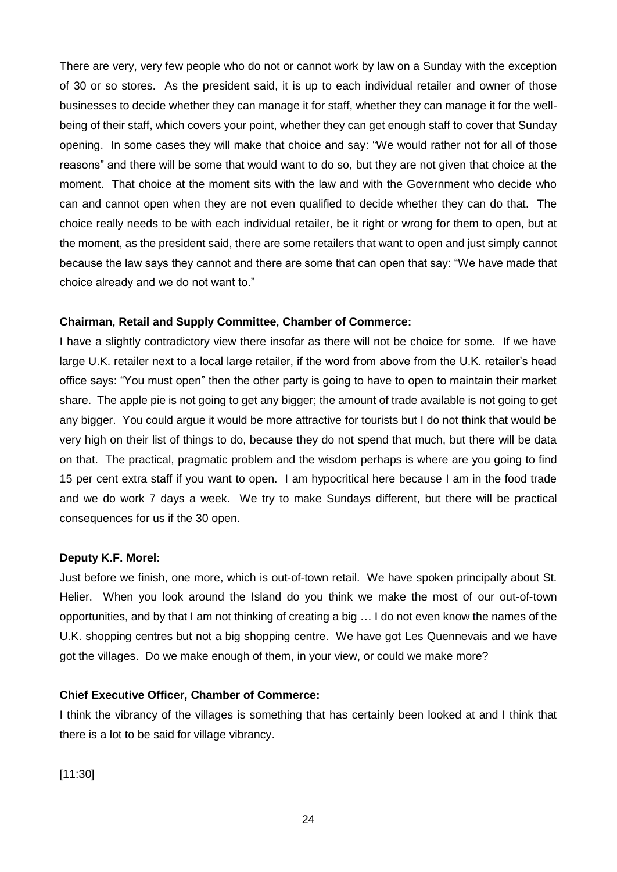There are very, very few people who do not or cannot work by law on a Sunday with the exception of 30 or so stores. As the president said, it is up to each individual retailer and owner of those businesses to decide whether they can manage it for staff, whether they can manage it for the wellbeing of their staff, which covers your point, whether they can get enough staff to cover that Sunday opening. In some cases they will make that choice and say: "We would rather not for all of those reasons" and there will be some that would want to do so, but they are not given that choice at the moment. That choice at the moment sits with the law and with the Government who decide who can and cannot open when they are not even qualified to decide whether they can do that. The choice really needs to be with each individual retailer, be it right or wrong for them to open, but at the moment, as the president said, there are some retailers that want to open and just simply cannot because the law says they cannot and there are some that can open that say: "We have made that choice already and we do not want to."

## **Chairman, Retail and Supply Committee, Chamber of Commerce:**

I have a slightly contradictory view there insofar as there will not be choice for some. If we have large U.K. retailer next to a local large retailer, if the word from above from the U.K. retailer's head office says: "You must open" then the other party is going to have to open to maintain their market share. The apple pie is not going to get any bigger; the amount of trade available is not going to get any bigger. You could argue it would be more attractive for tourists but I do not think that would be very high on their list of things to do, because they do not spend that much, but there will be data on that. The practical, pragmatic problem and the wisdom perhaps is where are you going to find 15 per cent extra staff if you want to open. I am hypocritical here because I am in the food trade and we do work 7 days a week. We try to make Sundays different, but there will be practical consequences for us if the 30 open.

#### **Deputy K.F. Morel:**

Just before we finish, one more, which is out-of-town retail. We have spoken principally about St. Helier. When you look around the Island do you think we make the most of our out-of-town opportunities, and by that I am not thinking of creating a big … I do not even know the names of the U.K. shopping centres but not a big shopping centre. We have got Les Quennevais and we have got the villages. Do we make enough of them, in your view, or could we make more?

#### **Chief Executive Officer, Chamber of Commerce:**

I think the vibrancy of the villages is something that has certainly been looked at and I think that there is a lot to be said for village vibrancy.

[11:30]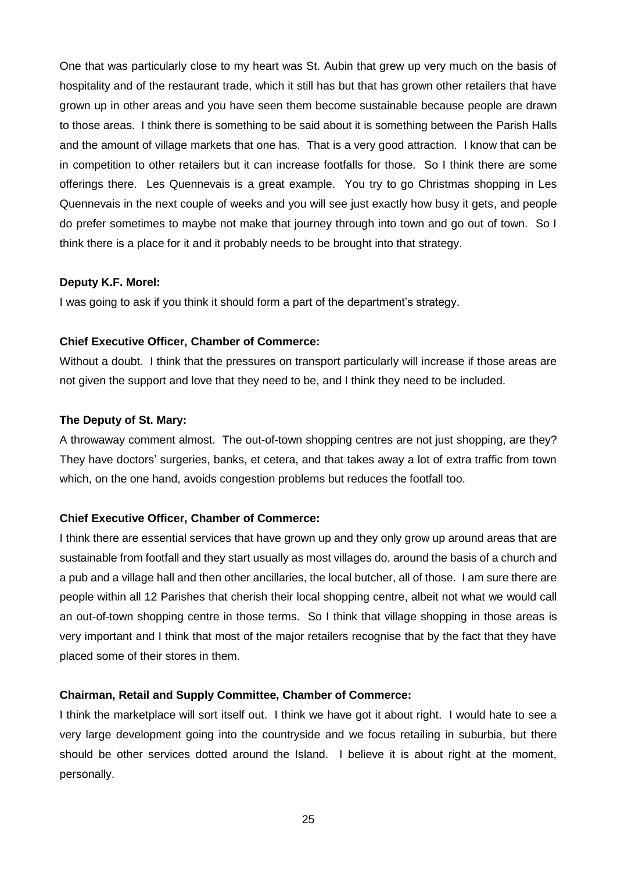One that was particularly close to my heart was St. Aubin that grew up very much on the basis of hospitality and of the restaurant trade, which it still has but that has grown other retailers that have grown up in other areas and you have seen them become sustainable because people are drawn to those areas. I think there is something to be said about it is something between the Parish Halls and the amount of village markets that one has. That is a very good attraction. I know that can be in competition to other retailers but it can increase footfalls for those. So I think there are some offerings there. Les Quennevais is a great example. You try to go Christmas shopping in Les Quennevais in the next couple of weeks and you will see just exactly how busy it gets, and people do prefer sometimes to maybe not make that journey through into town and go out of town. So I think there is a place for it and it probably needs to be brought into that strategy.

#### **Deputy K.F. Morel:**

I was going to ask if you think it should form a part of the department's strategy.

#### **Chief Executive Officer, Chamber of Commerce:**

Without a doubt. I think that the pressures on transport particularly will increase if those areas are not given the support and love that they need to be, and I think they need to be included.

#### **The Deputy of St. Mary:**

A throwaway comment almost. The out-of-town shopping centres are not just shopping, are they? They have doctors' surgeries, banks, et cetera, and that takes away a lot of extra traffic from town which, on the one hand, avoids congestion problems but reduces the footfall too.

## **Chief Executive Officer, Chamber of Commerce:**

I think there are essential services that have grown up and they only grow up around areas that are sustainable from footfall and they start usually as most villages do, around the basis of a church and a pub and a village hall and then other ancillaries, the local butcher, all of those. I am sure there are people within all 12 Parishes that cherish their local shopping centre, albeit not what we would call an out-of-town shopping centre in those terms. So I think that village shopping in those areas is very important and I think that most of the major retailers recognise that by the fact that they have placed some of their stores in them.

#### **Chairman, Retail and Supply Committee, Chamber of Commerce:**

I think the marketplace will sort itself out. I think we have got it about right. I would hate to see a very large development going into the countryside and we focus retailing in suburbia, but there should be other services dotted around the Island. I believe it is about right at the moment, personally.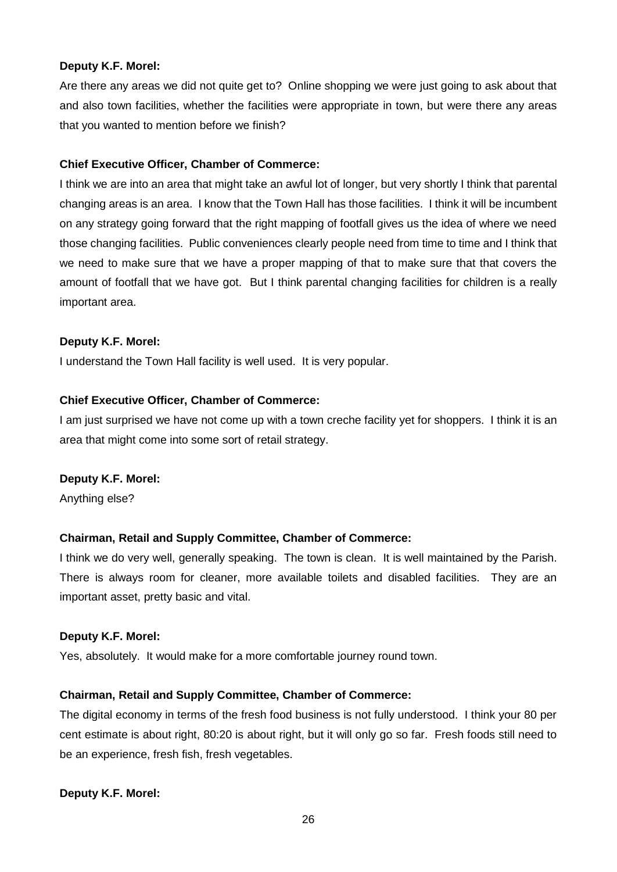## **Deputy K.F. Morel:**

Are there any areas we did not quite get to? Online shopping we were just going to ask about that and also town facilities, whether the facilities were appropriate in town, but were there any areas that you wanted to mention before we finish?

#### **Chief Executive Officer, Chamber of Commerce:**

I think we are into an area that might take an awful lot of longer, but very shortly I think that parental changing areas is an area. I know that the Town Hall has those facilities. I think it will be incumbent on any strategy going forward that the right mapping of footfall gives us the idea of where we need those changing facilities. Public conveniences clearly people need from time to time and I think that we need to make sure that we have a proper mapping of that to make sure that that covers the amount of footfall that we have got. But I think parental changing facilities for children is a really important area.

### **Deputy K.F. Morel:**

I understand the Town Hall facility is well used. It is very popular.

### **Chief Executive Officer, Chamber of Commerce:**

I am just surprised we have not come up with a town creche facility yet for shoppers. I think it is an area that might come into some sort of retail strategy.

## **Deputy K.F. Morel:**

Anything else?

## **Chairman, Retail and Supply Committee, Chamber of Commerce:**

I think we do very well, generally speaking. The town is clean. It is well maintained by the Parish. There is always room for cleaner, more available toilets and disabled facilities. They are an important asset, pretty basic and vital.

#### **Deputy K.F. Morel:**

Yes, absolutely. It would make for a more comfortable journey round town.

## **Chairman, Retail and Supply Committee, Chamber of Commerce:**

The digital economy in terms of the fresh food business is not fully understood. I think your 80 per cent estimate is about right, 80:20 is about right, but it will only go so far. Fresh foods still need to be an experience, fresh fish, fresh vegetables.

## **Deputy K.F. Morel:**